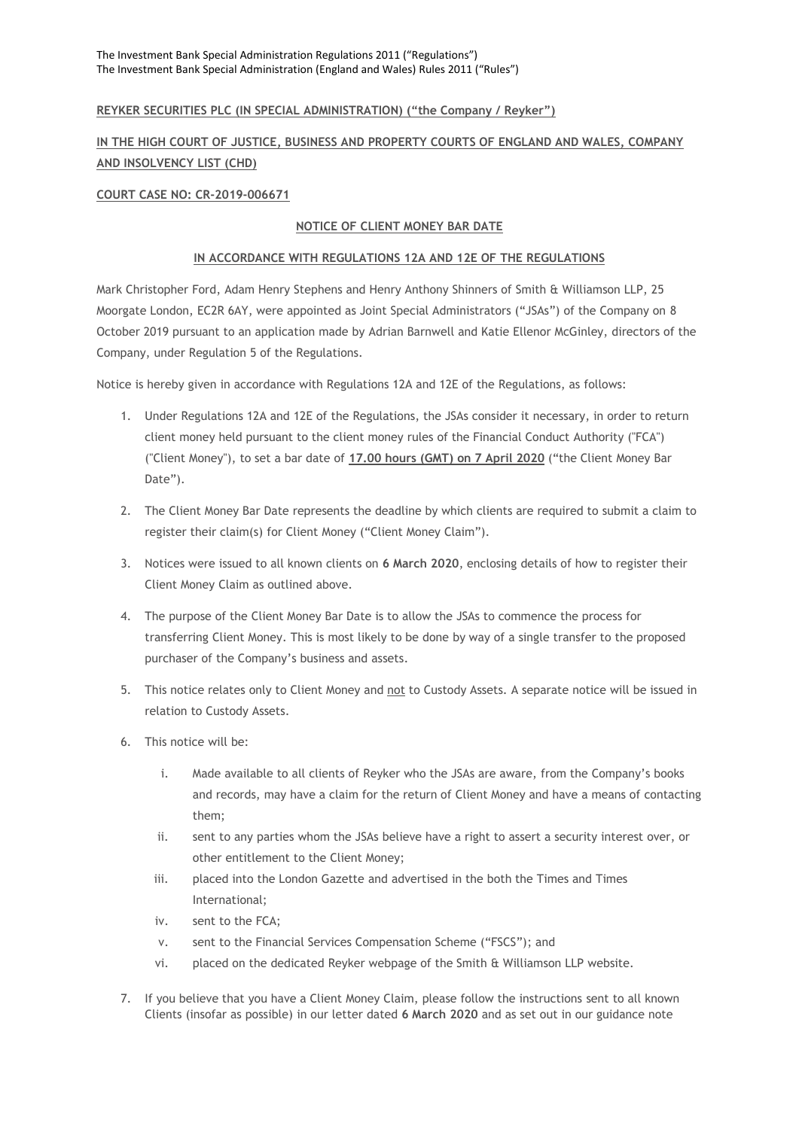### **REYKER SECURITIES PLC (IN SPECIAL ADMINISTRATION) ("the Company / Reyker")**

# **IN THE HIGH COURT OF JUSTICE, BUSINESS AND PROPERTY COURTS OF ENGLAND AND WALES, COMPANY AND INSOLVENCY LIST (CHD)**

#### **COURT CASE NO: CR-2019-006671**

## **NOTICE OF CLIENT MONEY BAR DATE**

#### **IN ACCORDANCE WITH REGULATIONS 12A AND 12E OF THE REGULATIONS**

Mark Christopher Ford, Adam Henry Stephens and Henry Anthony Shinners of Smith & Williamson LLP, 25 Moorgate London, EC2R 6AY, were appointed as Joint Special Administrators ("JSAs") of the Company on 8 October 2019 pursuant to an application made by Adrian Barnwell and Katie Ellenor McGinley, directors of the Company, under Regulation 5 of the Regulations.

Notice is hereby given in accordance with Regulations 12A and 12E of the Regulations, as follows:

- 1. Under Regulations 12A and 12E of the Regulations, the JSAs consider it necessary, in order to return client money held pursuant to the client money rules of the Financial Conduct Authority ("FCA") ("Client Money"), to set a bar date of **17.00 hours (GMT) on 7 April 2020** ("the Client Money Bar Date").
- 2. The Client Money Bar Date represents the deadline by which clients are required to submit a claim to register their claim(s) for Client Money ("Client Money Claim").
- 3. Notices were issued to all known clients on **6 March 2020**, enclosing details of how to register their Client Money Claim as outlined above.
- 4. The purpose of the Client Money Bar Date is to allow the JSAs to commence the process for transferring Client Money. This is most likely to be done by way of a single transfer to the proposed purchaser of the Company's business and assets.
- 5. This notice relates only to Client Money and not to Custody Assets. A separate notice will be issued in relation to Custody Assets.
- 6. This notice will be:
	- i. Made available to all clients of Reyker who the JSAs are aware, from the Company's books and records, may have a claim for the return of Client Money and have a means of contacting them;
	- ii. sent to any parties whom the JSAs believe have a right to assert a security interest over, or other entitlement to the Client Money;
	- iii. placed into the London Gazette and advertised in the both the Times and Times International;
	- iv. sent to the FCA;
	- v. sent to the Financial Services Compensation Scheme ("FSCS"); and
	- vi. placed on the dedicated Reyker webpage of the Smith & Williamson LLP website.
- 7. If you believe that you have a Client Money Claim, please follow the instructions sent to all known Clients (insofar as possible) in our letter dated **6 March 2020** and as set out in our guidance note